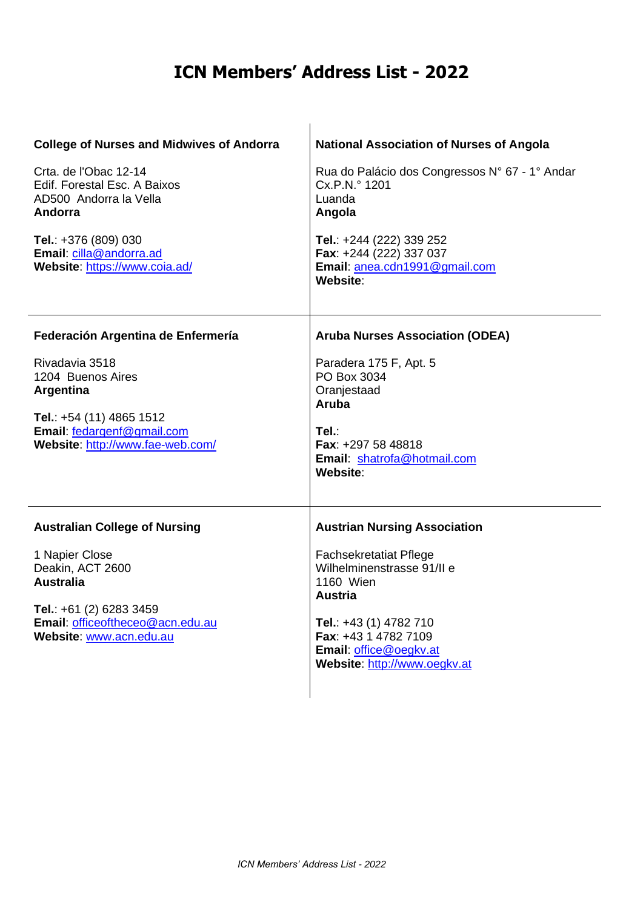| <b>College of Nurses and Midwives of Andorra</b><br>Crta. de l'Obac 12-14<br>Edif. Forestal Esc. A Baixos<br>AD500 Andorra la Vella<br>Andorra<br>Tel.: +376 (809) 030<br>Email: cilla@andorra.ad<br>Website: https://www.coia.ad/ | <b>National Association of Nurses of Angola</b><br>Rua do Palácio dos Congressos N° 67 - 1° Andar<br>Cx.P.N.º 1201<br>Luanda<br>Angola<br>Tel.: +244 (222) 339 252<br>Fax: +244 (222) 337 037<br>Email: anea.cdn1991@gmail.com<br>Website:            |
|------------------------------------------------------------------------------------------------------------------------------------------------------------------------------------------------------------------------------------|-------------------------------------------------------------------------------------------------------------------------------------------------------------------------------------------------------------------------------------------------------|
| Federación Argentina de Enfermería<br>Rivadavia 3518<br>1204 Buenos Aires<br>Argentina<br>Tel.: +54 (11) 4865 1512<br>Email: fedargenf@gmail.com<br>Website: http://www.fae-web.com/                                               | <b>Aruba Nurses Association (ODEA)</b><br>Paradera 175 F, Apt. 5<br>PO Box 3034<br>Oranjestaad<br>Aruba<br>Tel :<br>Fax: +297 58 48818<br>Email: shatrofa@hotmail.com<br>Website:                                                                     |
| <b>Australian College of Nursing</b><br>1 Napier Close<br>Deakin, ACT 2600<br><b>Australia</b><br>Tel.: $+61$ (2) 6283 3459<br>Email: officeoftheceo@acn.edu.au<br>Website: www.acn.edu.au                                         | <b>Austrian Nursing Association</b><br><b>Fachsekretatiat Pflege</b><br>Wilhelminenstrasse 91/II e<br><b>1160 Wien</b><br><b>Austria</b><br>Tel.: $+43(1)$ 4782 710<br>Fax: +43 1 4782 7109<br>Email: office@oegkv.at<br>Website: http://www.oegkv.at |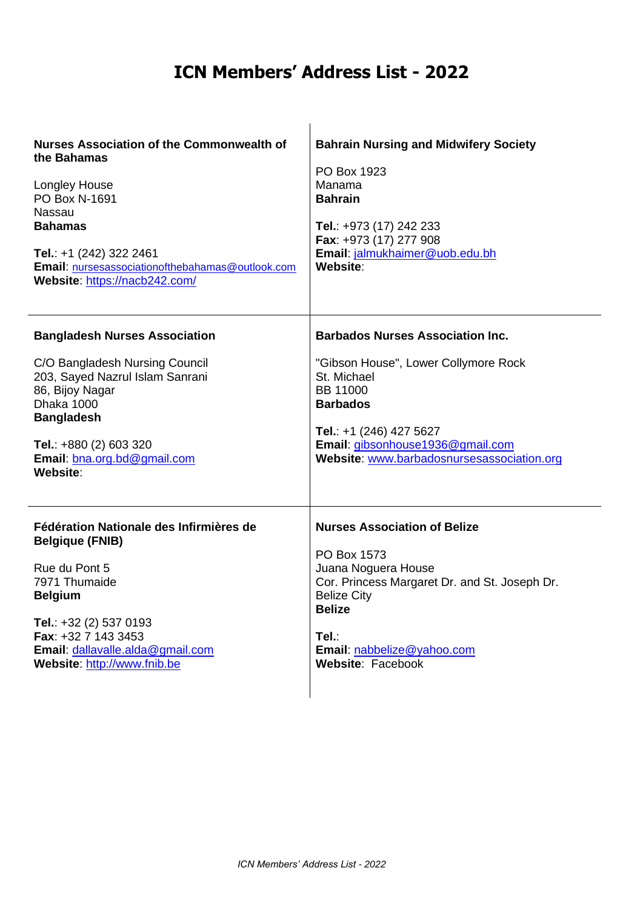| <b>Nurses Association of the Commonwealth of</b><br>the Bahamas<br><b>Longley House</b><br>PO Box N-1691<br><b>Nassau</b><br><b>Bahamas</b><br>Tel.: +1 (242) 322 2461<br>Email: nursesassociationofthebahamas@outlook.com<br>Website: https://nacb242.com/ | <b>Bahrain Nursing and Midwifery Society</b><br>PO Box 1923<br>Manama<br><b>Bahrain</b><br>Tel.: +973 (17) 242 233<br>Fax: +973 (17) 277 908<br>Email: jalmukhaimer@uob.edu.bh<br>Website:             |
|-------------------------------------------------------------------------------------------------------------------------------------------------------------------------------------------------------------------------------------------------------------|--------------------------------------------------------------------------------------------------------------------------------------------------------------------------------------------------------|
| <b>Bangladesh Nurses Association</b>                                                                                                                                                                                                                        | <b>Barbados Nurses Association Inc.</b>                                                                                                                                                                |
| C/O Bangladesh Nursing Council<br>203, Sayed Nazrul Islam Sanrani<br>86, Bijoy Nagar<br>Dhaka 1000<br><b>Bangladesh</b><br>Tel.: +880 (2) 603 320<br>Email: bna.org.bd@gmail.com<br>Website:                                                                | "Gibson House", Lower Collymore Rock<br>St. Michael<br><b>BB 11000</b><br><b>Barbados</b><br>Tel.: +1 (246) 427 5627<br>Email: gibsonhouse1936@gmail.com<br>Website: www.barbadosnursesassociation.org |
| Fédération Nationale des Infirmières de<br><b>Belgique (FNIB)</b>                                                                                                                                                                                           | <b>Nurses Association of Belize</b>                                                                                                                                                                    |
| Rue du Pont 5<br>7971 Thumaide<br><b>Belgium</b><br>Tel.: $+32$ (2) 537 0193<br>Fax: +32 7 143 3453<br>Email: dallavalle.alda@gmail.com<br>Website: http://www.fnib.be                                                                                      | PO Box 1573<br>Juana Noguera House<br>Cor. Princess Margaret Dr. and St. Joseph Dr.<br><b>Belize City</b><br><b>Belize</b><br>Tel.:<br>Email: nabbelize@yahoo.com<br>Website: Facebook                 |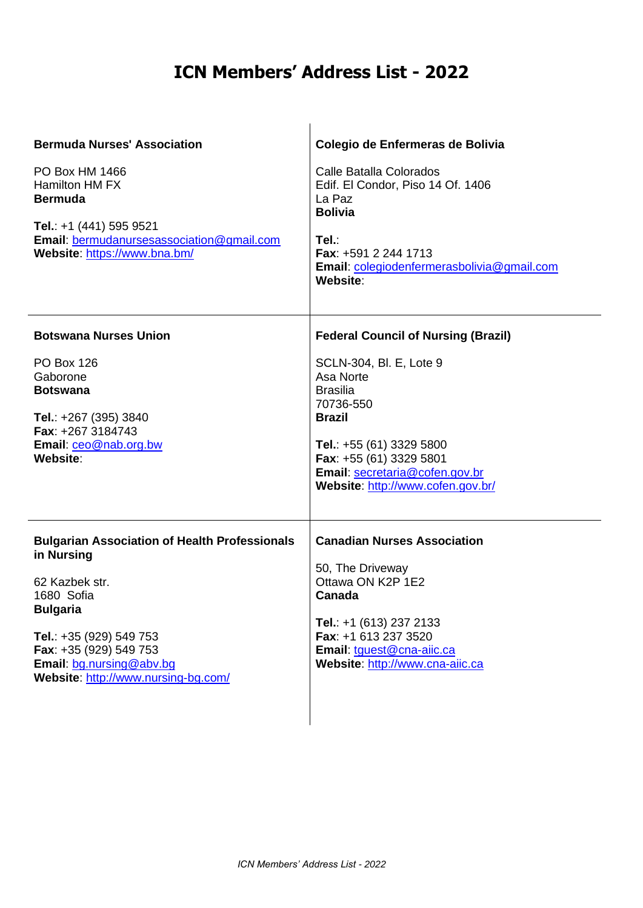| <b>Bermuda Nurses' Association</b><br>PO Box HM 1466<br><b>Hamilton HM FX</b><br><b>Bermuda</b><br>Tel.: +1 (441) 595 9521<br>Email: bermudanursesassociation@gmail.com<br>Website: https://www.bna.bm/                                       | Colegio de Enfermeras de Bolivia<br>Calle Batalla Colorados<br>Edif. El Condor, Piso 14 Of. 1406<br>La Paz<br><b>Bolivia</b><br>Tel.:<br>Fax: +591 2 244 1713<br>Email: colegiodenfermerasbolivia@gmail.com<br>Website:                                           |
|-----------------------------------------------------------------------------------------------------------------------------------------------------------------------------------------------------------------------------------------------|-------------------------------------------------------------------------------------------------------------------------------------------------------------------------------------------------------------------------------------------------------------------|
| <b>Botswana Nurses Union</b><br><b>PO Box 126</b><br>Gaborone<br><b>Botswana</b><br>Tel.: +267 (395) 3840<br>Fax: +267 3184743<br>Email: ceo@nab.org.bw<br>Website:                                                                           | <b>Federal Council of Nursing (Brazil)</b><br>SCLN-304, Bl. E, Lote 9<br>Asa Norte<br><b>Brasilia</b><br>70736-550<br><b>Brazil</b><br>Tel.: +55 (61) 3329 5800<br>Fax: +55 (61) 3329 5801<br>Email: secretaria@cofen.gov.br<br>Website: http://www.cofen.gov.br/ |
| <b>Bulgarian Association of Health Professionals</b><br>in Nursing<br>62 Kazbek str.<br>1680 Sofia<br><b>Bulgaria</b><br>Tel.: +35 (929) 549 753<br>Fax: +35 (929) 549 753<br>Email: bg.nursing@abv.bg<br>Website: http://www.nursing-bg.com/ | <b>Canadian Nurses Association</b><br>50, The Driveway<br>Ottawa ON K2P 1E2<br>Canada<br>Tel.: $+1$ (613) 237 2133<br>Fax: +1 613 237 3520<br>Email: tguest@cna-aiic.ca<br>Website: http://www.cna-aiic.ca                                                        |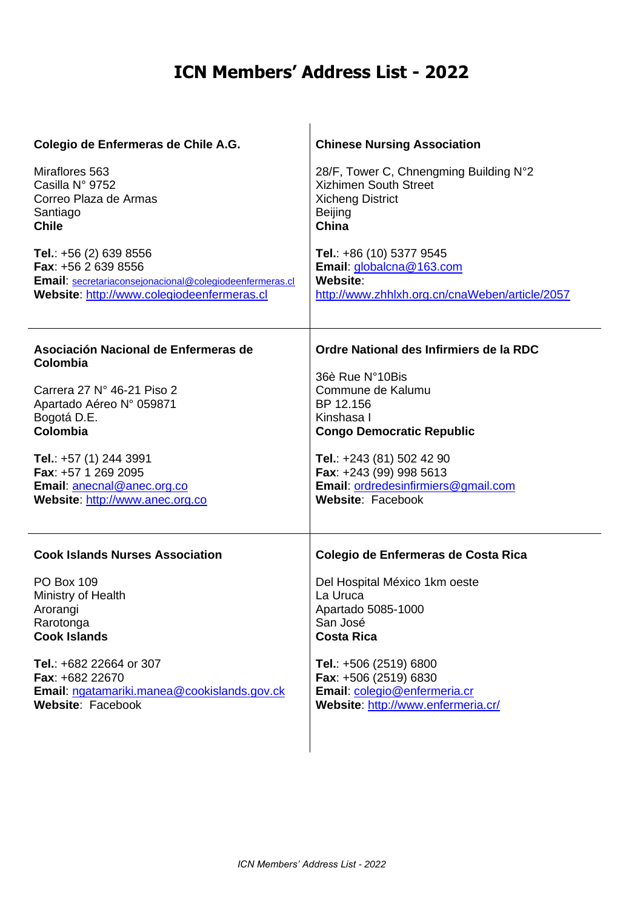| Colegio de Enfermeras de Chile A.G.                                                                                                                     | <b>Chinese Nursing Association</b>                                                                                           |
|---------------------------------------------------------------------------------------------------------------------------------------------------------|------------------------------------------------------------------------------------------------------------------------------|
| Miraflores 563<br>Casilla Nº 9752<br>Correo Plaza de Armas<br>Santiago<br><b>Chile</b>                                                                  | 28/F, Tower C, Chnengming Building N°2<br><b>Xizhimen South Street</b><br><b>Xicheng District</b><br><b>Beijing</b><br>China |
| Tel.: $+56(2)$ 639 8556<br>Fax: +56 2 639 8556<br>Email: secretariaconsejonacional@colegiodeenfermeras.cl<br>Website: http://www.colegiodeenfermeras.cl | Tel.: +86 (10) 5377 9545<br>Email: globalcna@163.com<br>Website:<br>http://www.zhhlxh.org.cn/cnaWeben/article/2057           |
| Asociación Nacional de Enfermeras de<br>Colombia                                                                                                        | Ordre National des Infirmiers de la RDC                                                                                      |
| Carrera 27 N° 46-21 Piso 2                                                                                                                              | 36è Rue N°10Bis<br>Commune de Kalumu                                                                                         |
| Apartado Aéreo Nº 059871                                                                                                                                | BP 12.156                                                                                                                    |
| Bogotá D.E.                                                                                                                                             | Kinshasa I                                                                                                                   |
| Colombia                                                                                                                                                | <b>Congo Democratic Republic</b>                                                                                             |
| Tel.: +57 (1) 244 3991                                                                                                                                  | Tel.: +243 (81) 502 42 90                                                                                                    |
| Fax: +57 1 269 2095                                                                                                                                     | Fax: +243 (99) 998 5613                                                                                                      |
| Email: anecnal@anec.org.co                                                                                                                              | Email: ordredesinfirmiers@gmail.com                                                                                          |
| Website: http://www.anec.org.co                                                                                                                         | Website: Facebook                                                                                                            |
|                                                                                                                                                         |                                                                                                                              |
| <b>Cook Islands Nurses Association</b>                                                                                                                  | Colegio de Enfermeras de Costa Rica                                                                                          |
| <b>PO Box 109</b>                                                                                                                                       | Del Hospital México 1km oeste                                                                                                |
| Ministry of Health                                                                                                                                      | La Uruca                                                                                                                     |
| Arorangi                                                                                                                                                | Apartado 5085-1000                                                                                                           |
| Rarotonga<br><b>Cook Islands</b>                                                                                                                        | San José<br><b>Costa Rica</b>                                                                                                |
|                                                                                                                                                         |                                                                                                                              |
| Tel.: +682 22664 or 307                                                                                                                                 | Tel.: +506 (2519) 6800                                                                                                       |
| Fax: +682 22670                                                                                                                                         | Fax: +506 (2519) 6830                                                                                                        |
| Email: ngatamariki.manea@cookislands.gov.ck<br>Website: Facebook                                                                                        | Email: colegio@enfermeria.cr<br>Website: http://www.enfermeria.cr/                                                           |
|                                                                                                                                                         |                                                                                                                              |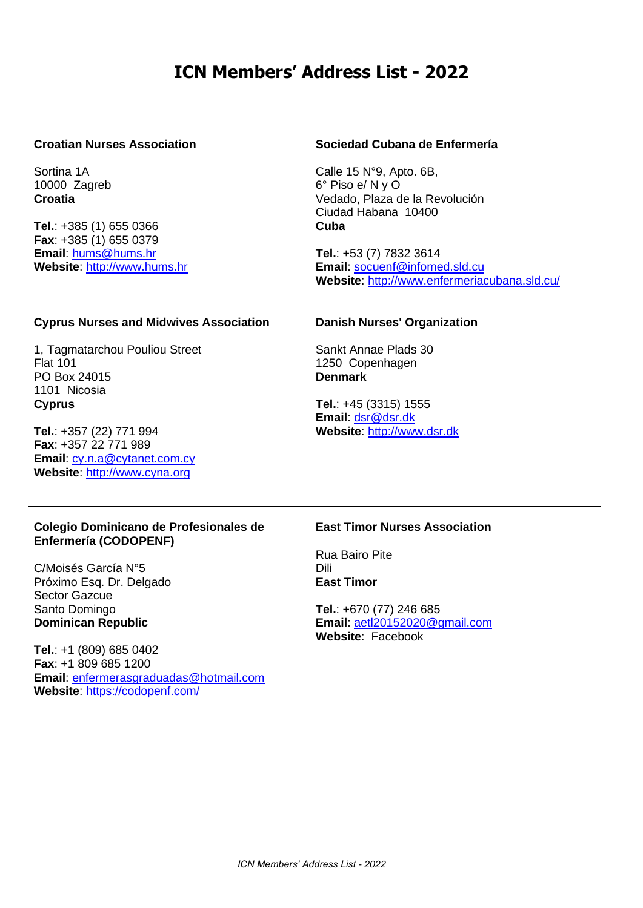| <b>Croatian Nurses Association</b><br>Sortina 1A<br>10000 Zagreb<br><b>Croatia</b><br>Tel.: $+385(1)6550366$<br>Fax: +385 (1) 655 0379<br>Email: hums@hums.hr<br>Website: http://www.hums.hr<br><b>Cyprus Nurses and Midwives Association</b>                                                                                  | Sociedad Cubana de Enfermería<br>Calle 15 $N°9$ , Apto. 6B,<br>6° Piso e/ N y O<br>Vedado, Plaza de la Revolución<br>Ciudad Habana 10400<br>Cuba<br>Tel.: +53 (7) 7832 3614<br>Email: socuenf@infomed.sld.cu<br>Website: http://www.enfermeriacubana.sld.cu/<br><b>Danish Nurses' Organization</b> |
|--------------------------------------------------------------------------------------------------------------------------------------------------------------------------------------------------------------------------------------------------------------------------------------------------------------------------------|----------------------------------------------------------------------------------------------------------------------------------------------------------------------------------------------------------------------------------------------------------------------------------------------------|
| 1, Tagmatarchou Pouliou Street<br><b>Flat 101</b><br>PO Box 24015<br>1101 Nicosia<br><b>Cyprus</b><br>Tel.: +357 (22) 771 994<br>Fax: +357 22 771 989<br>Email: cy.n.a@cytanet.com.cy<br>Website: http://www.cyna.org                                                                                                          | Sankt Annae Plads 30<br>1250 Copenhagen<br><b>Denmark</b><br>Tel.: $+45$ (3315) 1555<br>Email: dsr@dsr.dk<br>Website: http://www.dsr.dk                                                                                                                                                            |
| Colegio Dominicano de Profesionales de<br><b>Enfermería (CODOPENF)</b><br>C/Moisés García N°5<br>Próximo Esq. Dr. Delgado<br><b>Sector Gazcue</b><br>Santo Domingo<br><b>Dominican Republic</b><br>Tel.: +1 (809) 685 0402<br>Fax: +1 809 685 1200<br>Email: enfermerasgraduadas@hotmail.com<br>Website: https://codopenf.com/ | <b>East Timor Nurses Association</b><br><b>Rua Bairo Pite</b><br>Dili<br><b>East Timor</b><br>Tel.: +670 (77) 246 685<br>Email: aetl20152020@gmail.com<br>Website: Facebook                                                                                                                        |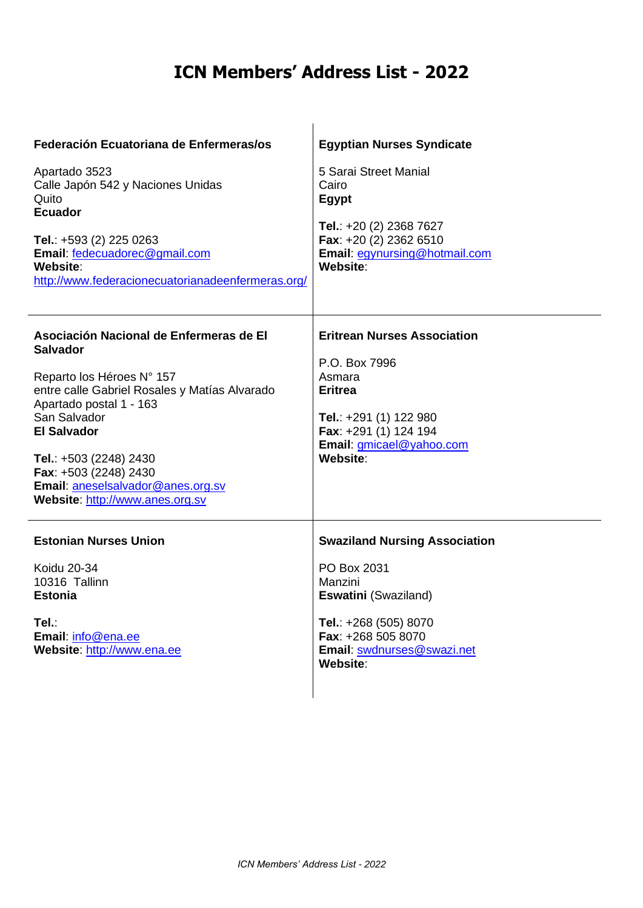| Federación Ecuatoriana de Enfermeras/os<br>Apartado 3523<br>Calle Japón 542 y Naciones Unidas<br>Quito<br><b>Ecuador</b><br>Tel.: +593 (2) 225 0263<br>Email: fedecuadorec@gmail.com<br>Website:<br>http://www.federacionecuatorianadeenfermeras.org/                                                                                | <b>Egyptian Nurses Syndicate</b><br>5 Sarai Street Manial<br>Cairo<br>Egypt<br>Tel.: $+20$ (2) 2368 7627<br>Fax: +20 (2) 2362 6510<br>Email: egynursing@hotmail.com<br>Website: |
|--------------------------------------------------------------------------------------------------------------------------------------------------------------------------------------------------------------------------------------------------------------------------------------------------------------------------------------|---------------------------------------------------------------------------------------------------------------------------------------------------------------------------------|
| Asociación Nacional de Enfermeras de El<br><b>Salvador</b><br>Reparto los Héroes N° 157<br>entre calle Gabriel Rosales y Matías Alvarado<br>Apartado postal 1 - 163<br>San Salvador<br><b>El Salvador</b><br>Tel.: +503 (2248) 2430<br>Fax: +503 (2248) 2430<br>Email: aneselsalvador@anes.org.sv<br>Website: http://www.anes.org.sv | <b>Eritrean Nurses Association</b><br>P.O. Box 7996<br>Asmara<br><b>Eritrea</b><br>Tel.: +291 (1) 122 980<br>Fax: +291 (1) 124 194<br>Email: gmicael@yahoo.com<br>Website:      |
| <b>Estonian Nurses Union</b><br>Koidu 20-34<br>10316 Tallinn<br><b>Estonia</b><br>Tel.:<br>Email: info@ena.ee<br>Website: http://www.ena.ee                                                                                                                                                                                          | <b>Swaziland Nursing Association</b><br>PO Box 2031<br>Manzini<br>Eswatini (Swaziland)<br>Tel.: +268 (505) 8070<br>Fax: +268 505 8070<br>Email: swdnurses@swazi.net<br>Website: |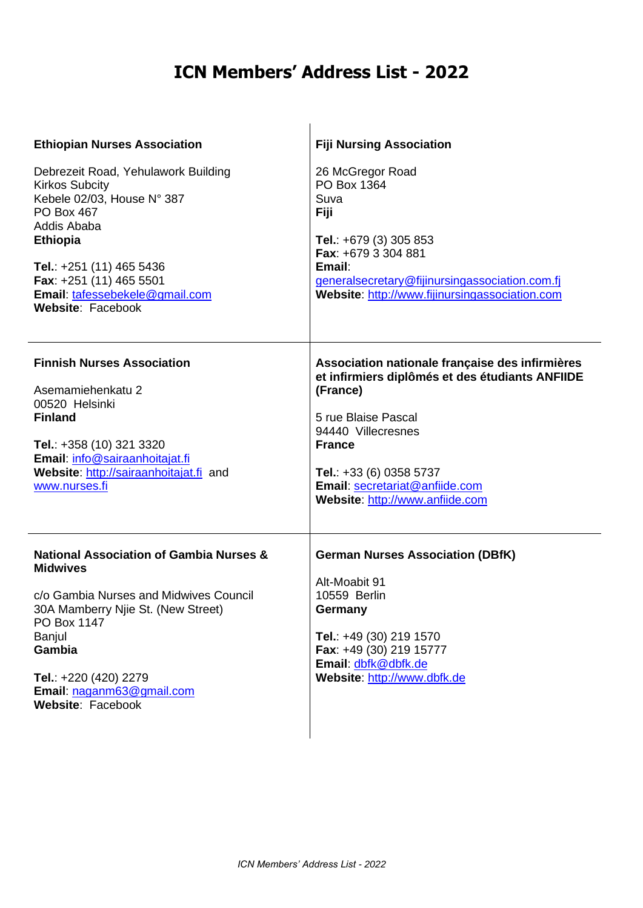| <b>Ethiopian Nurses Association</b>                                                                                                                                                                                                                                 | <b>Fiji Nursing Association</b>                                                                                                                                                                                                                                             |
|---------------------------------------------------------------------------------------------------------------------------------------------------------------------------------------------------------------------------------------------------------------------|-----------------------------------------------------------------------------------------------------------------------------------------------------------------------------------------------------------------------------------------------------------------------------|
| Debrezeit Road, Yehulawork Building<br><b>Kirkos Subcity</b><br>Kebele 02/03, House N° 387<br><b>PO Box 467</b><br>Addis Ababa<br><b>Ethiopia</b><br>Tel.: +251 (11) 465 5436<br>Fax: +251 (11) 465 5501<br>Email: tafessebekele@gmail.com<br>Website: Facebook     | 26 McGregor Road<br>PO Box 1364<br>Suva<br>Fiji<br>Tel.: $+679(3)305853$<br>Fax: +679 3 304 881<br>Email:<br>generalsecretary@fijinursingassociation.com.fj<br>Website: http://www.fijinursingassociation.com                                                               |
| <b>Finnish Nurses Association</b><br>Asemamiehenkatu 2<br>00520 Helsinki<br><b>Finland</b><br>Tel.: +358 (10) 321 3320<br>Email: info@sairaanhoitajat.fi<br>Website: http://sairaanhoitajat.fi and<br>www.nurses.fi                                                 | Association nationale française des infirmières<br>et infirmiers diplômés et des étudiants ANFIIDE<br>(France)<br>5 rue Blaise Pascal<br>94440 Villecresnes<br><b>France</b><br>Tel.: $+33(6)03585737$<br>Email: secretariat@anfiide.com<br>Website: http://www.anfiide.com |
| <b>National Association of Gambia Nurses &amp;</b><br><b>Midwives</b><br>c/o Gambia Nurses and Midwives Council<br>30A Mamberry Njie St. (New Street)<br>PO Box 1147<br>Banjul<br>Gambia<br>Tel.: +220 (420) 2279<br>Email: naganm63@gmail.com<br>Website: Facebook | <b>German Nurses Association (DBfK)</b><br>Alt-Moabit 91<br>10559 Berlin<br>Germany<br>Tel.: +49 (30) 219 1570<br>Fax: +49 (30) 219 15777<br>Email: dbfk@dbfk.de<br>Website: http://www.dbfk.de                                                                             |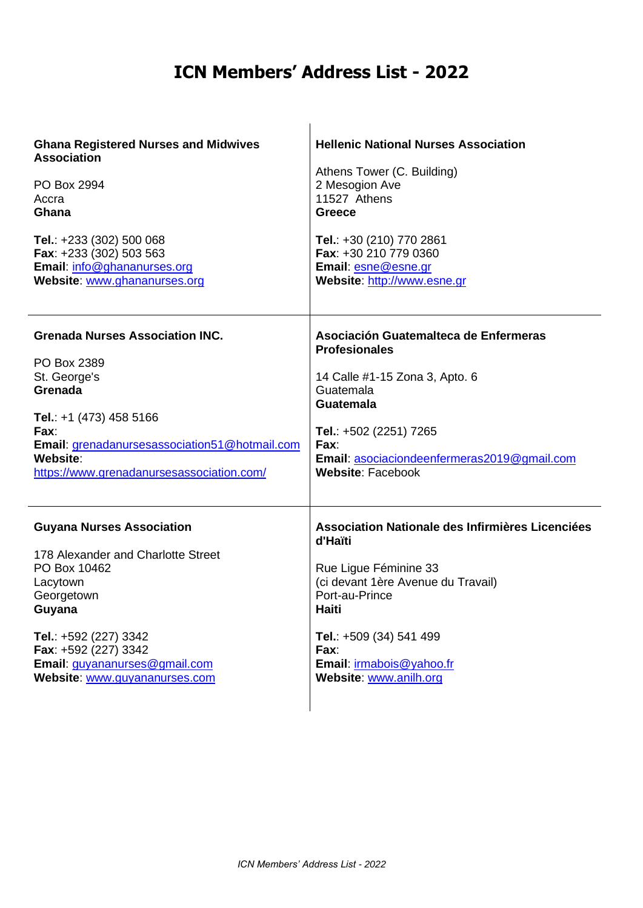| <b>Ghana Registered Nurses and Midwives</b>   | <b>Hellenic National Nurses Association</b>      |
|-----------------------------------------------|--------------------------------------------------|
| <b>Association</b>                            | Athens Tower (C. Building)                       |
| PO Box 2994                                   | 2 Mesogion Ave                                   |
| Accra                                         | 11527 Athens                                     |
| Ghana                                         | <b>Greece</b>                                    |
| Tel.: +233 (302) 500 068                      | Tel.: +30 (210) 770 2861                         |
| Fax: +233 (302) 503 563                       | Fax: +30 210 779 0360                            |
| Email: info@ghananurses.org                   | Email: esne@esne.gr                              |
| Website: www.ghananurses.org                  | Website: http://www.esne.gr                      |
| <b>Grenada Nurses Association INC.</b>        | Asociación Guatemalteca de Enfermeras            |
| PO Box 2389                                   | <b>Profesionales</b>                             |
| St. George's                                  | 14 Calle #1-15 Zona 3, Apto. 6                   |
| Grenada                                       | Guatemala                                        |
| Tel.: $+1$ (473) 458 5166                     | <b>Guatemala</b>                                 |
| Fax:                                          | Tel.: +502 (2251) 7265                           |
| Email: grenadanursesassociation51@hotmail.com | Fax:                                             |
| Website:                                      | Email: asociaciondeenfermeras2019@gmail.com      |
| https://www.grenadanursesassociation.com/     | <b>Website: Facebook</b>                         |
| <b>Guyana Nurses Association</b>              | Association Nationale des Infirmières Licenciées |
| 178 Alexander and Charlotte Street            | d'Haïti                                          |
| PO Box 10462                                  | Rue Ligue Féminine 33                            |
| Lacytown                                      | (ci devant 1ère Avenue du Travail)               |
| Georgetown                                    | Port-au-Prince                                   |
| Guyana                                        | Haiti                                            |
| Tel.: +592 (227) 3342                         | Tel.: +509 (34) 541 499                          |
| Fax: +592 (227) 3342                          | Fax:                                             |
| Email: guyananurses@gmail.com                 | Email: irmabois@yahoo.fr                         |
| Website: www.guyananurses.com                 | Website: www.anilh.org                           |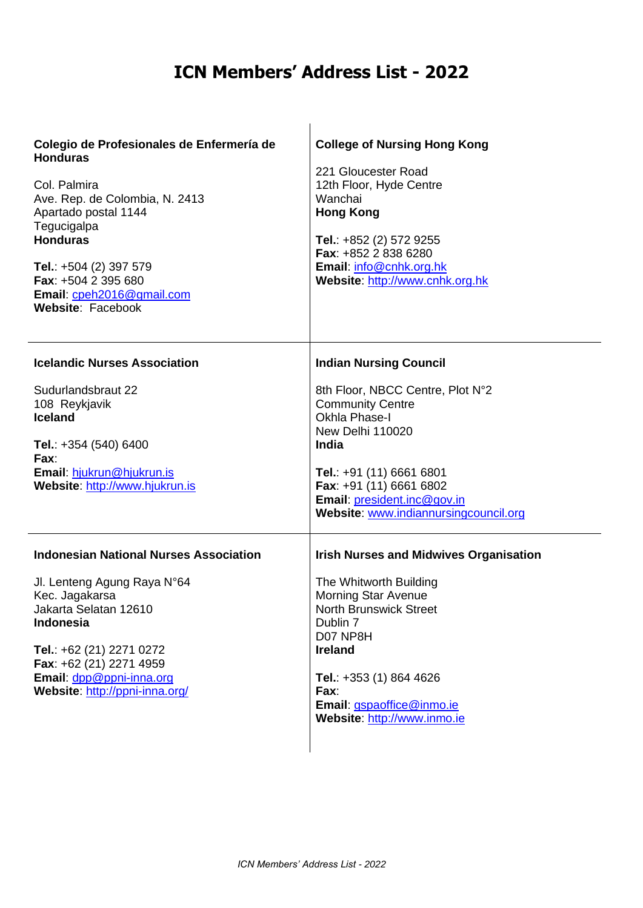| Colegio de Profesionales de Enfermería de<br><b>Honduras</b> | <b>College of Nursing Hong Kong</b><br>221 Gloucester Road                                      |
|--------------------------------------------------------------|-------------------------------------------------------------------------------------------------|
| Col. Palmira<br>Ave. Rep. de Colombia, N. 2413               | 12th Floor, Hyde Centre<br>Wanchai                                                              |
| Apartado postal 1144<br>Tegucigalpa<br><b>Honduras</b>       | <b>Hong Kong</b><br>Tel.: $+852$ (2) 572 9255                                                   |
| Tel.: +504 (2) 397 579<br>Fax: +504 2 395 680                | Fax: +852 2 838 6280<br>Email: info@cnhk.org.hk<br>Website: http://www.cnhk.org.hk              |
| Email: cpeh2016@gmail.com<br>Website: Facebook               |                                                                                                 |
| <b>Icelandic Nurses Association</b>                          | <b>Indian Nursing Council</b>                                                                   |
| Sudurlandsbraut 22<br>108 Reykjavik                          | 8th Floor, NBCC Centre, Plot N°2<br><b>Community Centre</b>                                     |
| <b>Iceland</b><br>Tel.: +354 (540) 6400                      | <b>Okhla Phase-I</b><br>New Delhi 110020<br><b>India</b>                                        |
| Fax:<br>Email: hjukrun@hjukrun.is                            | Tel.: +91 (11) 6661 6801                                                                        |
| Website: http://www.hjukrun.is                               | Fax: +91 (11) 6661 6802<br>Email: president.inc@gov.in<br>Website: www.indiannursingcouncil.org |
| <b>Indonesian National Nurses Association</b>                | <b>Irish Nurses and Midwives Organisation</b>                                                   |
| Jl. Lenteng Agung Raya N°64<br>Kec. Jagakarsa                | The Whitworth Building<br><b>Morning Star Avenue</b>                                            |
| Jakarta Selatan 12610<br><b>Indonesia</b>                    | <b>North Brunswick Street</b><br>Dublin 7<br>D07 NP8H                                           |
| Tel.: +62 (21) 2271 0272<br>Fax: +62 (21) 2271 4959          | <b>Ireland</b>                                                                                  |
| Email: dpp@ppni-inna.org<br>Website: http://ppni-inna.org/   | Tel.: $+353(1)8644626$<br>Fax:<br>Email: gspaoffice@inmo.ie                                     |
|                                                              | Website: http://www.inmo.ie                                                                     |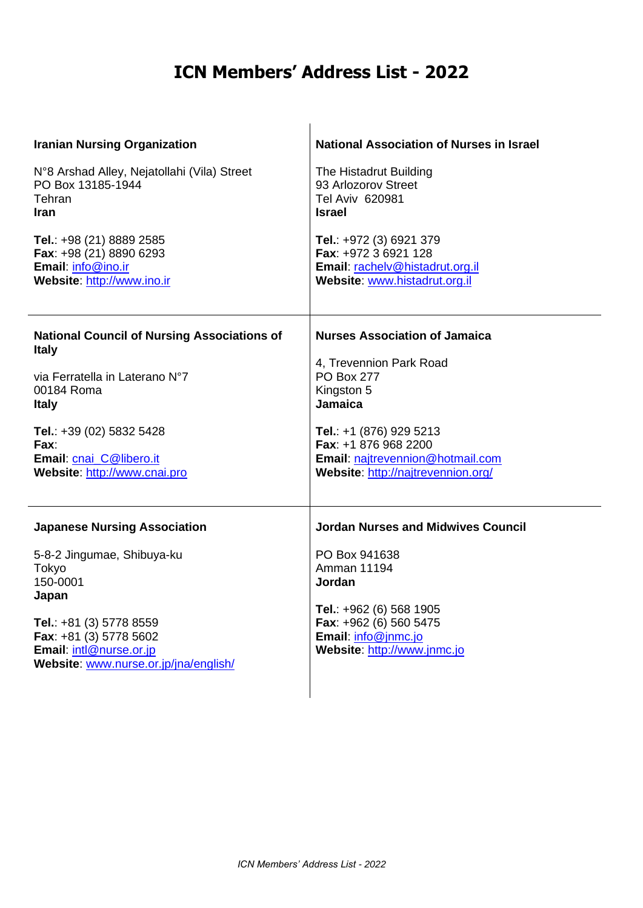| <b>Iranian Nursing Organization</b>                                                                                                                                                                                      | <b>National Association of Nurses in Israel</b>                                                                                                                                                       |
|--------------------------------------------------------------------------------------------------------------------------------------------------------------------------------------------------------------------------|-------------------------------------------------------------------------------------------------------------------------------------------------------------------------------------------------------|
| N°8 Arshad Alley, Nejatollahi (Vila) Street                                                                                                                                                                              | The Histadrut Building                                                                                                                                                                                |
| PO Box 13185-1944                                                                                                                                                                                                        | 93 Arlozorov Street                                                                                                                                                                                   |
| Tehran                                                                                                                                                                                                                   | Tel Aviv 620981                                                                                                                                                                                       |
| Iran                                                                                                                                                                                                                     | <b>Israel</b>                                                                                                                                                                                         |
| Tel.: +98 (21) 8889 2585                                                                                                                                                                                                 | Tel.: +972 (3) 6921 379                                                                                                                                                                               |
| Fax: +98 (21) 8890 6293                                                                                                                                                                                                  | Fax: +972 3 6921 128                                                                                                                                                                                  |
| Email: info@ino.ir                                                                                                                                                                                                       | Email: rachelv@histadrut.org.il                                                                                                                                                                       |
| Website: http://www.ino.ir                                                                                                                                                                                               | Website: www.histadrut.org.il                                                                                                                                                                         |
| <b>National Council of Nursing Associations of</b>                                                                                                                                                                       | <b>Nurses Association of Jamaica</b>                                                                                                                                                                  |
| <b>Italy</b>                                                                                                                                                                                                             | 4, Trevennion Park Road                                                                                                                                                                               |
| via Ferratella in Laterano N°7                                                                                                                                                                                           | <b>PO Box 277</b>                                                                                                                                                                                     |
| 00184 Roma                                                                                                                                                                                                               | Kingston 5                                                                                                                                                                                            |
| <b>Italy</b>                                                                                                                                                                                                             | Jamaica                                                                                                                                                                                               |
| Tel.: +39 (02) 5832 5428                                                                                                                                                                                                 | Tel.: +1 (876) 929 5213                                                                                                                                                                               |
| Fax:                                                                                                                                                                                                                     | Fax: +1 876 968 2200                                                                                                                                                                                  |
| Email: cnai C@libero.it                                                                                                                                                                                                  | Email: najtrevennion@hotmail.com                                                                                                                                                                      |
| Website: http://www.cnai.pro                                                                                                                                                                                             | Website: http://najtrevennion.org/                                                                                                                                                                    |
| <b>Japanese Nursing Association</b><br>5-8-2 Jingumae, Shibuya-ku<br>Tokyo<br>150-0001<br>Japan<br>Tel.: +81 (3) 5778 8559<br>Fax: +81 (3) 5778 5602<br>Email: intl@nurse.or.jp<br>Website: www.nurse.or.jp/jna/english/ | <b>Jordan Nurses and Midwives Council</b><br>PO Box 941638<br><b>Amman 11194</b><br>Jordan<br>Tel.: +962 (6) 568 1905<br>Fax: +962 (6) 560 5475<br>Email: info@jnmc.jo<br>Website: http://www.jnmc.jo |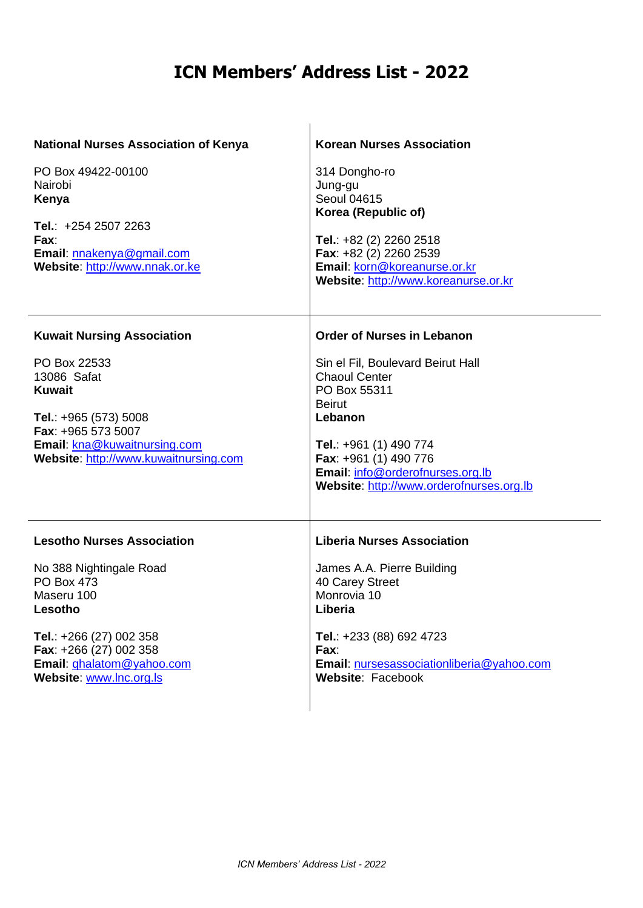| <b>National Nurses Association of Kenya</b><br>PO Box 49422-00100<br>Nairobi<br>Kenya<br>Tel.: +254 2507 2263<br>Fax:<br>Email: nnakenya@gmail.com<br>Website: http://www.nnak.or.ke                                    | <b>Korean Nurses Association</b><br>314 Dongho-ro<br>Jung-gu<br><b>Seoul 04615</b><br>Korea (Republic of)<br>Tel.: $+82$ (2) 2260 2518<br>Fax: +82 (2) 2260 2539<br>Email: korn@koreanurse.or.kr<br>Website: http://www.koreanurse.or.kr                                      |
|-------------------------------------------------------------------------------------------------------------------------------------------------------------------------------------------------------------------------|-------------------------------------------------------------------------------------------------------------------------------------------------------------------------------------------------------------------------------------------------------------------------------|
| <b>Kuwait Nursing Association</b><br>PO Box 22533<br>13086 Safat<br><b>Kuwait</b><br>Tel.: $+965(573)5008$<br>Fax: +965 573 5007<br>Email: kna@kuwaitnursing.com<br>Website: http://www.kuwaitnursing.com               | <b>Order of Nurses in Lebanon</b><br>Sin el Fil, Boulevard Beirut Hall<br><b>Chaoul Center</b><br>PO Box 55311<br><b>Beirut</b><br>Lebanon<br>Tel.: +961 (1) 490 774<br>Fax: +961 (1) 490 776<br>Email: info@orderofnurses.org.lb<br>Website: http://www.orderofnurses.org.lb |
| <b>Lesotho Nurses Association</b><br>No 388 Nightingale Road<br><b>PO Box 473</b><br>Maseru 100<br>Lesotho<br>Tel.: +266 (27) 002 358<br>Fax: +266 (27) 002 358<br>Email: ghalatom@yahoo.com<br>Website: www.lnc.org.ls | <b>Liberia Nurses Association</b><br>James A.A. Pierre Building<br>40 Carey Street<br>Monrovia 10<br>Liberia<br>Tel.: +233 (88) 692 4723<br>Fax:<br>Email: nursesassociationliberia@yahoo.com<br>Website: Facebook                                                            |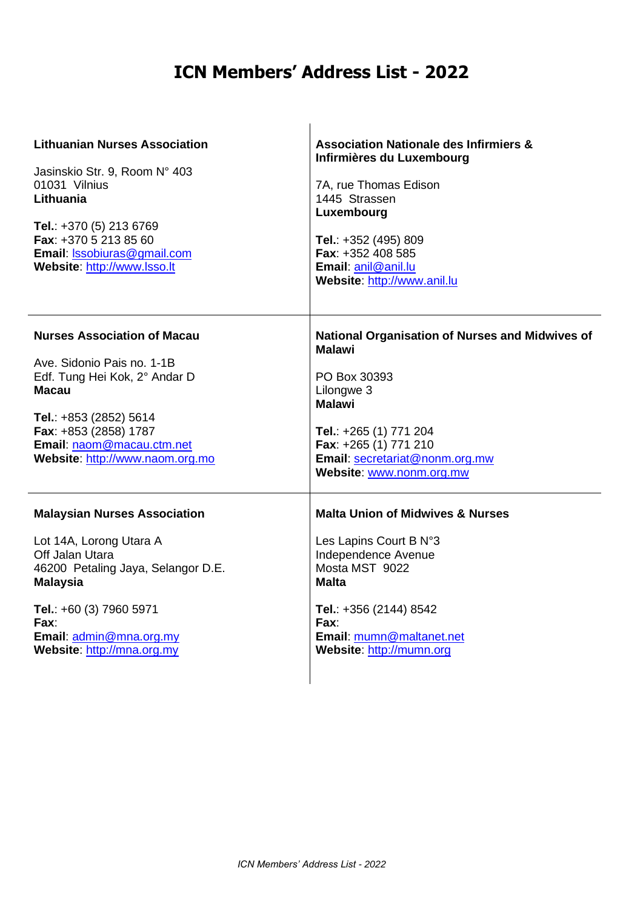| <b>Lithuanian Nurses Association</b><br>Jasinskio Str. 9, Room N° 403<br>01031 Vilnius<br>Lithuania<br>Tel.: +370 (5) 213 6769<br>Fax: +370 5 213 85 60<br>Email: Issobiuras@gmail.com<br>Website: http://www.lsso.lt                  | <b>Association Nationale des Infirmiers &amp;</b><br>Infirmières du Luxembourg<br>7A, rue Thomas Edison<br>1445 Strassen<br>Luxembourg<br>Tel.: $+352(495)809$<br>Fax: +352 408 585<br>Email: anil@anil.lu<br>Website: http://www.anil.lu |
|----------------------------------------------------------------------------------------------------------------------------------------------------------------------------------------------------------------------------------------|-------------------------------------------------------------------------------------------------------------------------------------------------------------------------------------------------------------------------------------------|
| <b>Nurses Association of Macau</b><br>Ave. Sidonio Pais no. 1-1B<br>Edf. Tung Hei Kok, 2° Andar D<br>Macau<br>Tel.: +853 (2852) 5614<br>Fax: +853 (2858) 1787<br>Email: naom@macau.ctm.net<br>Website: http://www.naom.org.mo          | <b>National Organisation of Nurses and Midwives of</b><br><b>Malawi</b><br>PO Box 30393<br>Lilongwe 3<br><b>Malawi</b><br>Tel.: +265 (1) 771 204<br>Fax: +265 (1) 771 210<br>Email: secretariat@nonm.org.mw<br>Website: www.nonm.org.mw   |
| <b>Malaysian Nurses Association</b><br>Lot 14A, Lorong Utara A<br>Off Jalan Utara<br>46200 Petaling Jaya, Selangor D.E.<br><b>Malaysia</b><br>Tel.: +60 (3) 7960 5971<br>Fax:<br>Email: admin@mna.org.my<br>Website: http://mna.org.my | <b>Malta Union of Midwives &amp; Nurses</b><br>Les Lapins Court B N°3<br>Independence Avenue<br>Mosta MST 9022<br><b>Malta</b><br>Tel.: +356 (2144) 8542<br>Fax:<br>Email: mumn@maltanet.net<br>Website: http://mumn.org                  |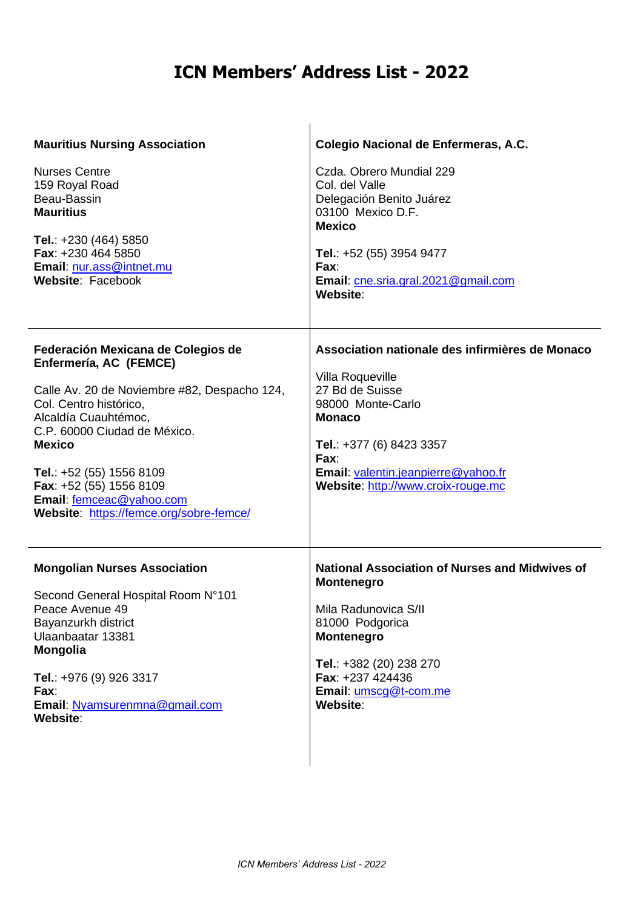| <b>Mauritius Nursing Association</b><br><b>Nurses Centre</b><br>159 Royal Road<br>Beau-Bassin<br><b>Mauritius</b><br>Tel.: +230 (464) 5850<br>Fax: +230 464 5850<br>Email: nur.ass@intnet.mu<br>Website: Facebook                                                                                                                              | Colegio Nacional de Enfermeras, A.C.<br>Czda. Obrero Mundial 229<br>Col. del Valle<br>Delegación Benito Juárez<br>03100 Mexico D.F.<br><b>Mexico</b><br>Tel.: +52 (55) 3954 9477<br>Fax:<br>Email: cne.sria.gral.2021@gmail.com                           |
|------------------------------------------------------------------------------------------------------------------------------------------------------------------------------------------------------------------------------------------------------------------------------------------------------------------------------------------------|-----------------------------------------------------------------------------------------------------------------------------------------------------------------------------------------------------------------------------------------------------------|
| Federación Mexicana de Colegios de<br>Enfermería, AC (FEMCE)<br>Calle Av. 20 de Noviembre #82, Despacho 124,<br>Col. Centro histórico,<br>Alcaldía Cuauhtémoc,<br>C.P. 60000 Ciudad de México.<br><b>Mexico</b><br>Tel.: $+52(55)$ 1556 8109<br>Fax: +52 (55) 1556 8109<br>Email: femceac@yahoo.com<br>Website: https://femce.org/sobre-femce/ | Website:<br>Association nationale des infirmières de Monaco<br>Villa Roqueville<br>27 Bd de Suisse<br>98000 Monte-Carlo<br><b>Monaco</b><br>Tel.: +377 (6) 8423 3357<br>Fax:<br>Email: valentin.jeanpierre@yahoo.fr<br>Website: http://www.croix-rouge.mc |
| <b>Mongolian Nurses Association</b><br>Second General Hospital Room N°101<br>Peace Avenue 49<br>Bayanzurkh district<br>Ulaanbaatar 13381<br>Mongolia<br>Tel.: +976 (9) 926 3317<br>Fax:<br>Email: Nyamsurenmna@gmail.com<br>Website:                                                                                                           | <b>National Association of Nurses and Midwives of</b><br><b>Montenegro</b><br>Mila Radunovica S/II<br>81000 Podgorica<br>Montenegro<br>Tel.: +382 (20) 238 270<br>Fax: +237 424436<br>Email: umscg@t-com.me<br>Website:                                   |

 $\mathbf{I}$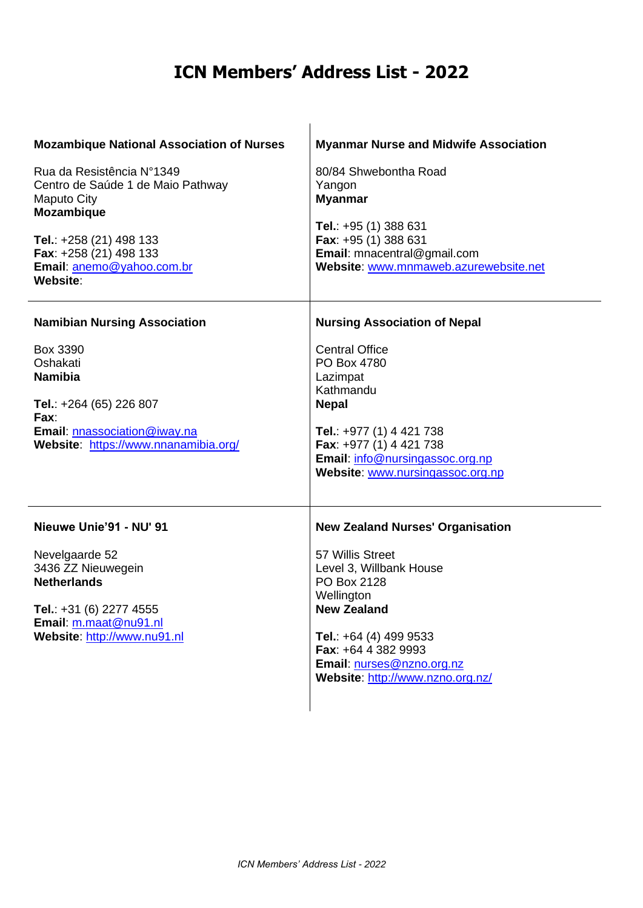| <b>Mozambique National Association of Nurses</b><br>Rua da Resistência N°1349<br>Centro de Saúde 1 de Maio Pathway<br><b>Maputo City</b><br><b>Mozambique</b><br>Tel.: +258 (21) 498 133<br>Fax: +258 (21) 498 133<br>Email: anemo@yahoo.com.br<br>Website: | <b>Myanmar Nurse and Midwife Association</b><br>80/84 Shwebontha Road<br>Yangon<br><b>Myanmar</b><br>Tel.: +95 (1) 388 631<br>Fax: +95 (1) 388 631<br>Email: mnacentral@gmail.com<br>Website: www.mnmaweb.azurewebsite.net                                  |
|-------------------------------------------------------------------------------------------------------------------------------------------------------------------------------------------------------------------------------------------------------------|-------------------------------------------------------------------------------------------------------------------------------------------------------------------------------------------------------------------------------------------------------------|
| <b>Namibian Nursing Association</b><br>Box 3390<br>Oshakati<br><b>Namibia</b><br>Tel.: +264 (65) 226 807<br>Fax:<br>Email: nnassociation@iway.na<br>Website: https://www.nnanamibia.org/                                                                    | <b>Nursing Association of Nepal</b><br><b>Central Office</b><br>PO Box 4780<br>Lazimpat<br>Kathmandu<br><b>Nepal</b><br>Tel.: +977 (1) 4 421 738<br>Fax: +977 (1) 4 421 738<br>Email: info@nursingassoc.org.np<br>Website: www.nursingassoc.org.np          |
| Nieuwe Unie'91 - NU' 91<br>Nevelgaarde 52<br>3436 ZZ Nieuwegein<br><b>Netherlands</b><br>Tel.: +31 (6) 2277 4555<br>Email: m.maat@nu91.nl<br>Website: http://www.nu91.nl                                                                                    | <b>New Zealand Nurses' Organisation</b><br>57 Willis Street<br>Level 3, Willbank House<br>PO Box 2128<br>Wellington<br><b>New Zealand</b><br>Tel.: +64 (4) 499 9533<br>Fax: +64 4 382 9993<br>Email: nurses@nzno.org.nz<br>Website: http://www.nzno.org.nz/ |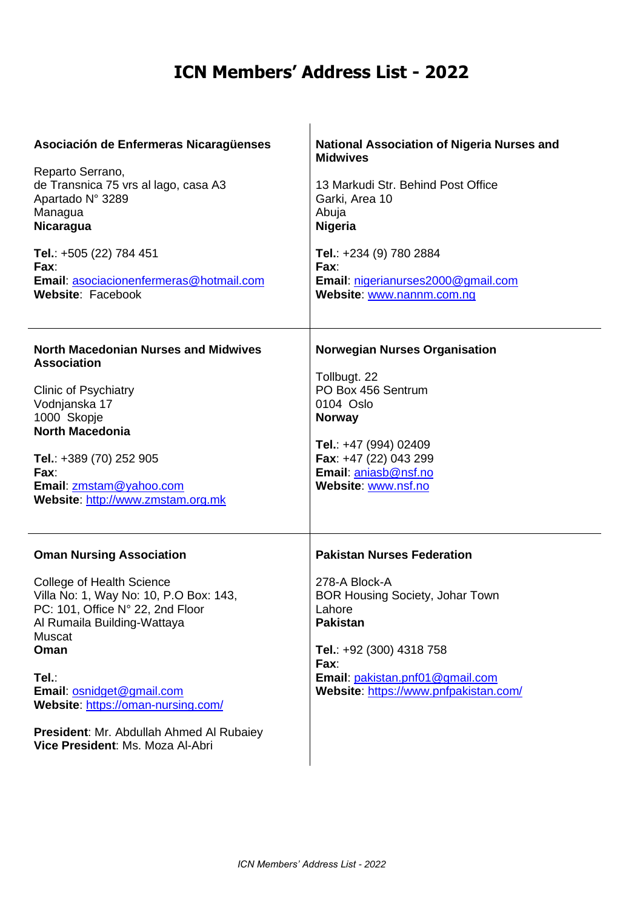| Asociación de Enfermeras Nicaragüenses<br>Reparto Serrano,<br>de Transnica 75 vrs al lago, casa A3<br>Apartado Nº 3289<br>Managua<br><b>Nicaragua</b><br>Tel.: +505 (22) 784 451<br>Fax:<br>Email: asociacionenfermeras@hotmail.com<br>Website: Facebook                                                                                                       | <b>National Association of Nigeria Nurses and</b><br><b>Midwives</b><br>13 Markudi Str. Behind Post Office<br>Garki, Area 10<br>Abuja<br><b>Nigeria</b><br>Tel.: +234 (9) 780 2884<br>Fax:<br>Email: nigerianurses2000@gmail.com<br>Website: www.nannm.com.ng |
|----------------------------------------------------------------------------------------------------------------------------------------------------------------------------------------------------------------------------------------------------------------------------------------------------------------------------------------------------------------|---------------------------------------------------------------------------------------------------------------------------------------------------------------------------------------------------------------------------------------------------------------|
| <b>North Macedonian Nurses and Midwives</b><br><b>Association</b><br><b>Clinic of Psychiatry</b><br>Vodnjanska 17<br>1000 Skopje<br><b>North Macedonia</b><br>Tel.: +389 (70) 252 905<br>Fax:<br>Email: zmstam@yahoo.com<br>Website: http://www.zmstam.org.mk                                                                                                  | <b>Norwegian Nurses Organisation</b><br>Tollbugt. 22<br>PO Box 456 Sentrum<br>0104 Oslo<br><b>Norway</b><br>Tel.: +47 (994) 02409<br>Fax: +47 (22) 043 299<br>Email: aniasb@nsf.no<br>Website: www.nsf.no                                                     |
| <b>Oman Nursing Association</b><br><b>College of Health Science</b><br>Villa No: 1, Way No: 10, P.O Box: 143,<br>PC: 101, Office N° 22, 2nd Floor<br>Al Rumaila Building-Wattaya<br>Muscat<br>Oman<br>Tel.∶<br>Email: osnidget@gmail.com<br>Website: https://oman-nursing.com/<br>President: Mr. Abdullah Ahmed Al Rubaiey<br>Vice President: Ms. Moza Al-Abri | <b>Pakistan Nurses Federation</b><br>278-A Block-A<br><b>BOR Housing Society, Johar Town</b><br>Lahore<br><b>Pakistan</b><br>Tel.: +92 (300) 4318 758<br>Fax:<br>Email: pakistan.pnf01@gmail.com<br>Website: https://www.pnfpakistan.com/                     |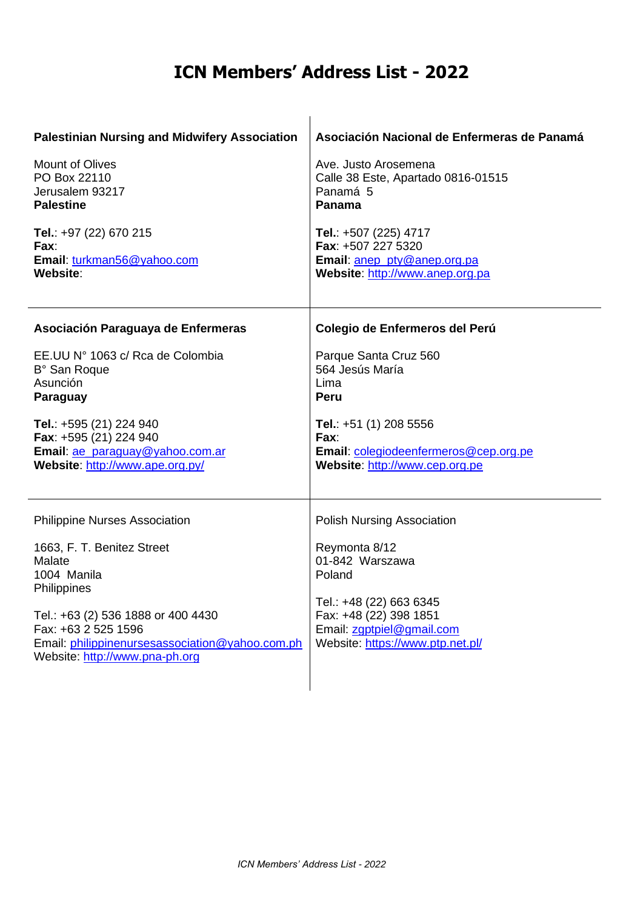| <b>Palestinian Nursing and Midwifery Association</b>                                                                                                                                                                                                         | Asociación Nacional de Enfermeras de Panamá                                                                                                                                                           |
|--------------------------------------------------------------------------------------------------------------------------------------------------------------------------------------------------------------------------------------------------------------|-------------------------------------------------------------------------------------------------------------------------------------------------------------------------------------------------------|
| <b>Mount of Olives</b>                                                                                                                                                                                                                                       | Ave. Justo Arosemena                                                                                                                                                                                  |
| PO Box 22110                                                                                                                                                                                                                                                 | Calle 38 Este, Apartado 0816-01515                                                                                                                                                                    |
| Jerusalem 93217                                                                                                                                                                                                                                              | Panamá 5                                                                                                                                                                                              |
| <b>Palestine</b>                                                                                                                                                                                                                                             | Panama                                                                                                                                                                                                |
| Tel.: +97 (22) 670 215                                                                                                                                                                                                                                       | Tel.: +507 (225) 4717                                                                                                                                                                                 |
| Fax:                                                                                                                                                                                                                                                         | Fax: +507 227 5320                                                                                                                                                                                    |
| Email: turkman56@yahoo.com                                                                                                                                                                                                                                   | Email: anep_pty@anep.org.pa                                                                                                                                                                           |
| Website:                                                                                                                                                                                                                                                     | Website: http://www.anep.org.pa                                                                                                                                                                       |
| Asociación Paraguaya de Enfermeras                                                                                                                                                                                                                           | Colegio de Enfermeros del Perú                                                                                                                                                                        |
| EE.UU Nº 1063 c/ Rca de Colombia                                                                                                                                                                                                                             | Parque Santa Cruz 560                                                                                                                                                                                 |
| B° San Roque                                                                                                                                                                                                                                                 | 564 Jesús María                                                                                                                                                                                       |
| Asunción                                                                                                                                                                                                                                                     | Lima                                                                                                                                                                                                  |
| Paraguay                                                                                                                                                                                                                                                     | Peru                                                                                                                                                                                                  |
| Tel.: +595 (21) 224 940                                                                                                                                                                                                                                      | Tel.: +51 (1) 208 5556                                                                                                                                                                                |
| Fax: +595 (21) 224 940                                                                                                                                                                                                                                       | Fax:                                                                                                                                                                                                  |
| Email: ae_paraguay@yahoo.com.ar                                                                                                                                                                                                                              | Email: colegiodeenfermeros@cep.org.pe                                                                                                                                                                 |
| Website: http://www.ape.org.py/                                                                                                                                                                                                                              | Website: http://www.cep.org.pe                                                                                                                                                                        |
| <b>Philippine Nurses Association</b><br>1663, F. T. Benitez Street<br>Malate<br>1004 Manila<br>Philippines<br>Tel.: +63 (2) 536 1888 or 400 4430<br>Fax: +63 2 525 1596<br>Email: philippinenursesassociation@yahoo.com.ph<br>Website: http://www.pna-ph.org | <b>Polish Nursing Association</b><br>Reymonta 8/12<br>01-842 Warszawa<br>Poland<br>Tel.: +48 (22) 663 6345<br>Fax: +48 (22) 398 1851<br>Email: zgptpiel@gmail.com<br>Website: https://www.ptp.net.pl/ |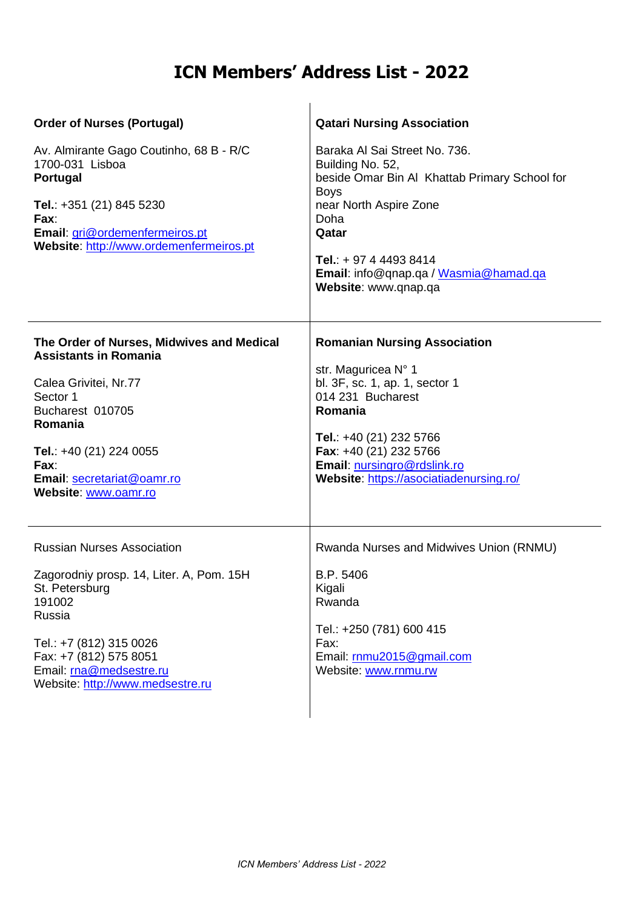| <b>Order of Nurses (Portugal)</b><br>Av. Almirante Gago Coutinho, 68 B - R/C<br>1700-031 Lisboa<br>Portugal<br>Tel.: +351 (21) 845 5230<br>Fax:                                                                                          | <b>Qatari Nursing Association</b><br>Baraka Al Sai Street No. 736.<br>Building No. 52,<br>beside Omar Bin Al Khattab Primary School for<br><b>Boys</b><br>near North Aspire Zone<br>Doha                                                                    |
|------------------------------------------------------------------------------------------------------------------------------------------------------------------------------------------------------------------------------------------|-------------------------------------------------------------------------------------------------------------------------------------------------------------------------------------------------------------------------------------------------------------|
| Email: gri@ordemenfermeiros.pt<br>Website: http://www.ordemenfermeiros.pt                                                                                                                                                                | Qatar<br>Tel.: + 97 4 4493 8414<br>Email: info@qnap.qa / Wasmia@hamad.qa<br>Website: www.qnap.qa                                                                                                                                                            |
| The Order of Nurses, Midwives and Medical<br><b>Assistants in Romania</b><br>Calea Grivitei, Nr.77<br>Sector 1<br>Bucharest 010705<br>Romania<br>Tel.: $+40$ (21) 224 0055<br>Fax:<br>Email: secretariat@oamr.ro<br>Website: www.oamr.ro | <b>Romanian Nursing Association</b><br>str. Maguricea N° 1<br>bl. 3F, sc. 1, ap. 1, sector 1<br>014 231 Bucharest<br>Romania<br>Tel.: +40 (21) 232 5766<br>Fax: +40 (21) 232 5766<br>Email: nursingro@rdslink.ro<br>Website: https://asociatiadenursing.ro/ |
| <b>Russian Nurses Association</b><br>Zagorodniy prosp. 14, Liter. A, Pom. 15H<br>St. Petersburg<br>191002<br>Russia<br>Tel.: +7 (812) 315 0026<br>Fax: +7 (812) 575 8051<br>Email: rna@medsestre.ru<br>Website: http://www.medsestre.ru  | Rwanda Nurses and Midwives Union (RNMU)<br>B.P. 5406<br>Kigali<br>Rwanda<br>Tel.: +250 (781) 600 415<br>Fax:<br>Email: rnmu2015@gmail.com<br>Website: www.rnmu.rw                                                                                           |

l.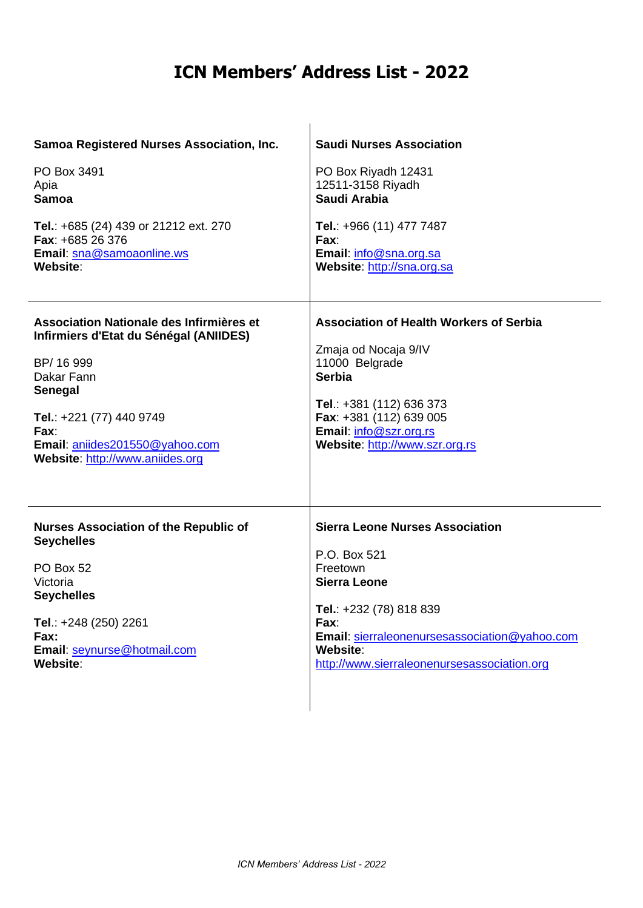| Samoa Registered Nurses Association, Inc.                                                                                                                                                                                          | <b>Saudi Nurses Association</b>                                                                                                                                                                                              |
|------------------------------------------------------------------------------------------------------------------------------------------------------------------------------------------------------------------------------------|------------------------------------------------------------------------------------------------------------------------------------------------------------------------------------------------------------------------------|
| PO Box 3491                                                                                                                                                                                                                        | PO Box Riyadh 12431                                                                                                                                                                                                          |
| Apia                                                                                                                                                                                                                               | 12511-3158 Riyadh                                                                                                                                                                                                            |
| <b>Samoa</b>                                                                                                                                                                                                                       | Saudi Arabia                                                                                                                                                                                                                 |
| Tel.: +685 (24) 439 or 21212 ext. 270                                                                                                                                                                                              | Tel.: +966 (11) 477 7487                                                                                                                                                                                                     |
| Fax: +685 26 376                                                                                                                                                                                                                   | Fax:                                                                                                                                                                                                                         |
| Email: sna@samoaonline.ws                                                                                                                                                                                                          | Email: info@sna.org.sa                                                                                                                                                                                                       |
| Website:                                                                                                                                                                                                                           | Website: http://sna.org.sa                                                                                                                                                                                                   |
| Association Nationale des Infirmières et<br>Infirmiers d'Etat du Sénégal (ANIIDES)<br>BP/ 16 999<br>Dakar Fann<br>Senegal<br>Tel.: +221 (77) 440 9749<br>Fax:<br>Email: aniides201550@yahoo.com<br>Website: http://www.aniides.org | <b>Association of Health Workers of Serbia</b><br>Zmaja od Nocaja 9/IV<br>11000 Belgrade<br><b>Serbia</b><br>Tel.: +381 (112) 636 373<br>Fax: +381 (112) 639 005<br>Email: info@szr.org.rs<br>Website: http://www.szr.org.rs |
| <b>Nurses Association of the Republic of</b>                                                                                                                                                                                       | <b>Sierra Leone Nurses Association</b>                                                                                                                                                                                       |
| <b>Seychelles</b>                                                                                                                                                                                                                  | P.O. Box 521                                                                                                                                                                                                                 |
| PO Box 52                                                                                                                                                                                                                          | Freetown                                                                                                                                                                                                                     |
| Victoria                                                                                                                                                                                                                           | <b>Sierra Leone</b>                                                                                                                                                                                                          |
| <b>Seychelles</b>                                                                                                                                                                                                                  | Tel.: +232 (78) 818 839                                                                                                                                                                                                      |
| Tel.: +248 (250) 2261                                                                                                                                                                                                              | Fax:                                                                                                                                                                                                                         |
| Fax:                                                                                                                                                                                                                               | Email: sierraleonenursesassociation@yahoo.com                                                                                                                                                                                |
| Email: seynurse@hotmail.com                                                                                                                                                                                                        | Website:                                                                                                                                                                                                                     |
| Website:                                                                                                                                                                                                                           | http://www.sierraleonenursesassociation.org                                                                                                                                                                                  |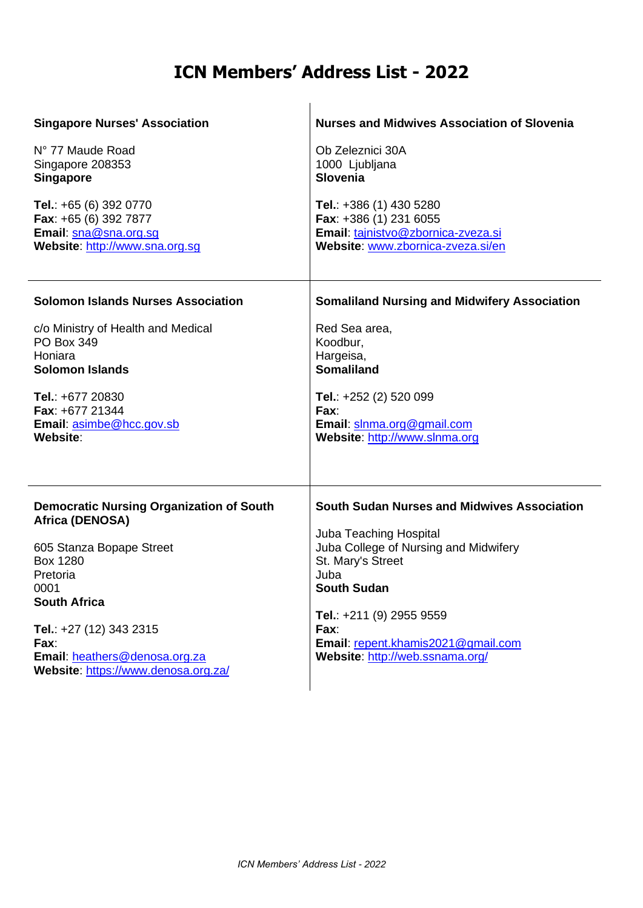| <b>Singapore Nurses' Association</b>                                                                                                                                                                          | <b>Nurses and Midwives Association of Slovenia</b>                                                                                                                                                                              |
|---------------------------------------------------------------------------------------------------------------------------------------------------------------------------------------------------------------|---------------------------------------------------------------------------------------------------------------------------------------------------------------------------------------------------------------------------------|
| N° 77 Maude Road<br>Singapore 208353<br><b>Singapore</b>                                                                                                                                                      | Ob Zeleznici 30A<br>1000 Ljubljana<br>Slovenia                                                                                                                                                                                  |
| Tel.: +65 (6) 392 0770<br>Fax: +65 (6) 392 7877<br>Email: sna@sna.org.sq<br>Website: http://www.sna.org.sg                                                                                                    | Tel.: +386 (1) 430 5280<br>Fax: +386 (1) 231 6055<br>Email: tajnistvo@zbornica-zveza.si<br>Website: www.zbornica-zveza.si/en                                                                                                    |
| <b>Solomon Islands Nurses Association</b>                                                                                                                                                                     | <b>Somaliland Nursing and Midwifery Association</b>                                                                                                                                                                             |
| c/o Ministry of Health and Medical<br>PO Box 349<br>Honiara<br><b>Solomon Islands</b>                                                                                                                         | Red Sea area,<br>Koodbur,<br>Hargeisa,<br><b>Somaliland</b>                                                                                                                                                                     |
| Tel.: +677 20830<br>Fax: +677 21344<br>Email: asimbe@hcc.gov.sb<br>Website:                                                                                                                                   | Tel.: +252 (2) 520 099<br>Fax:<br>Email: slnma.org@gmail.com<br>Website: http://www.slnma.org                                                                                                                                   |
| <b>Democratic Nursing Organization of South</b>                                                                                                                                                               | <b>South Sudan Nurses and Midwives Association</b>                                                                                                                                                                              |
| Africa (DENOSA)<br>605 Stanza Bopape Street<br>Box 1280<br>Pretoria<br>0001<br><b>South Africa</b><br>Tel.: +27 (12) 343 2315<br>Fax:<br>Email: heathers@denosa.org.za<br>Website: https://www.denosa.org.za/ | Juba Teaching Hospital<br>Juba College of Nursing and Midwifery<br>St. Mary's Street<br>Juba<br><b>South Sudan</b><br>Tel.: +211 (9) 2955 9559<br>Fax:<br>Email: repent.khamis2021@gmail.com<br>Website: http://web.ssnama.org/ |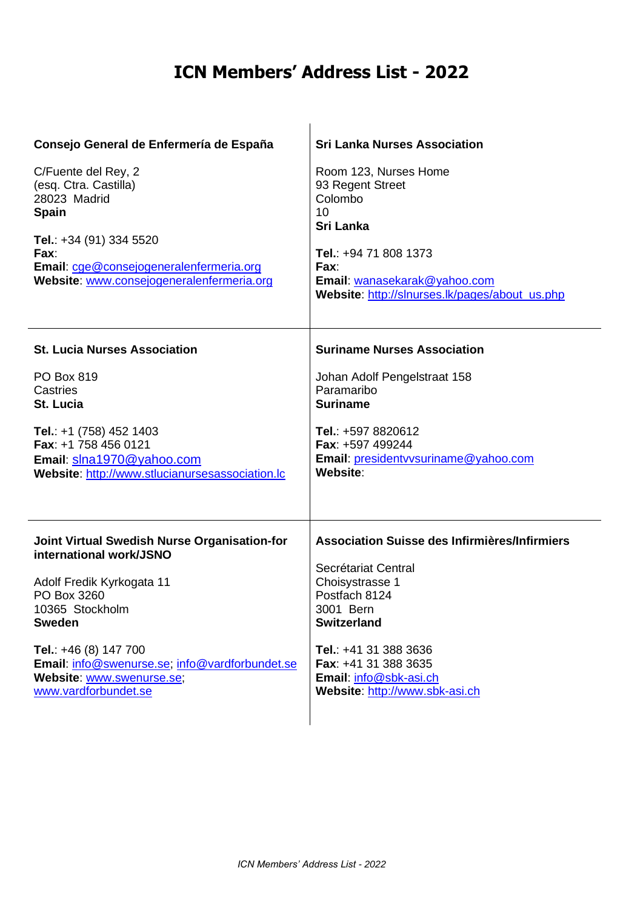| Consejo General de Enfermería de España<br>C/Fuente del Rey, 2<br>(esq. Ctra. Castilla)<br>28023 Madrid<br><b>Spain</b><br>Tel.: +34 (91) 334 5520<br>Fax:<br>Email: cge@consejogeneralenfermeria.org<br>Website: www.consejogeneralenfermeria.org | <b>Sri Lanka Nurses Association</b><br>Room 123, Nurses Home<br>93 Regent Street<br>Colombo<br>10<br>Sri Lanka<br>Tel.: +94 71 808 1373<br>Fax:<br>Email: wanasekarak@yahoo.com<br>Website: http://slnurses.lk/pages/about_us.php |
|----------------------------------------------------------------------------------------------------------------------------------------------------------------------------------------------------------------------------------------------------|-----------------------------------------------------------------------------------------------------------------------------------------------------------------------------------------------------------------------------------|
| <b>St. Lucia Nurses Association</b>                                                                                                                                                                                                                | <b>Suriname Nurses Association</b>                                                                                                                                                                                                |
| PO Box 819                                                                                                                                                                                                                                         | Johan Adolf Pengelstraat 158                                                                                                                                                                                                      |
| Castries                                                                                                                                                                                                                                           | Paramaribo                                                                                                                                                                                                                        |
| St. Lucia                                                                                                                                                                                                                                          | <b>Suriname</b>                                                                                                                                                                                                                   |
| Tel.: $+1$ (758) 452 1403                                                                                                                                                                                                                          | Tel.: +597 8820612                                                                                                                                                                                                                |
| Fax: +1 758 456 0121                                                                                                                                                                                                                               | Fax: +597 499244                                                                                                                                                                                                                  |
| Email: slna1970@yahoo.com                                                                                                                                                                                                                          | Email: presidenty vsuriname@yahoo.com                                                                                                                                                                                             |
| Website: http://www.stlucianursesassociation.lc                                                                                                                                                                                                    | Website:                                                                                                                                                                                                                          |
| <b>Joint Virtual Swedish Nurse Organisation-for</b>                                                                                                                                                                                                | Association Suisse des Infirmières/Infirmiers                                                                                                                                                                                     |
| international work/JSNO                                                                                                                                                                                                                            | Secrétariat Central                                                                                                                                                                                                               |
| Adolf Fredik Kyrkogata 11                                                                                                                                                                                                                          | Choisystrasse 1                                                                                                                                                                                                                   |
| PO Box 3260                                                                                                                                                                                                                                        | Postfach 8124                                                                                                                                                                                                                     |
| 10365 Stockholm                                                                                                                                                                                                                                    | 3001 Bern                                                                                                                                                                                                                         |
| <b>Sweden</b>                                                                                                                                                                                                                                      | <b>Switzerland</b>                                                                                                                                                                                                                |
| Tel.: $+46(8)$ 147 700                                                                                                                                                                                                                             | Tel.: +41 31 388 3636                                                                                                                                                                                                             |
| Email: info@swenurse.se; info@vardforbundet.se                                                                                                                                                                                                     | Fax: +41 31 388 3635                                                                                                                                                                                                              |
| Website: www.swenurse.se;                                                                                                                                                                                                                          | Email: info@sbk-asi.ch                                                                                                                                                                                                            |
| www.vardforbundet.se                                                                                                                                                                                                                               | Website: http://www.sbk-asi.ch                                                                                                                                                                                                    |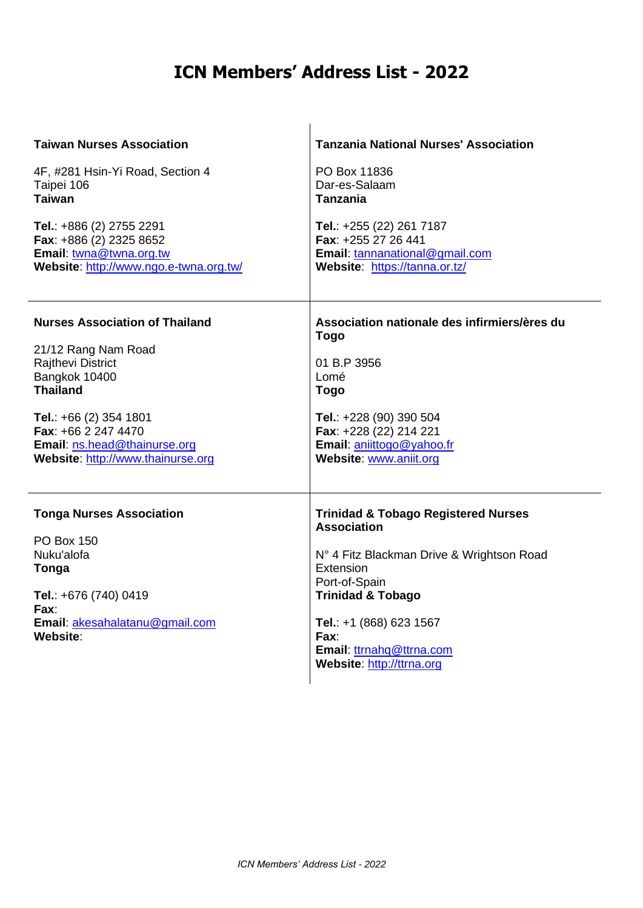| <b>Taiwan Nurses Association</b>                                                                                                                           | <b>Tanzania National Nurses' Association</b>                                                                                                                                                                                                                                |
|------------------------------------------------------------------------------------------------------------------------------------------------------------|-----------------------------------------------------------------------------------------------------------------------------------------------------------------------------------------------------------------------------------------------------------------------------|
| 4F, #281 Hsin-Yi Road, Section 4                                                                                                                           | PO Box 11836                                                                                                                                                                                                                                                                |
| Taipei 106                                                                                                                                                 | Dar-es-Salaam                                                                                                                                                                                                                                                               |
| <b>Taiwan</b>                                                                                                                                              | <b>Tanzania</b>                                                                                                                                                                                                                                                             |
| Tel.: +886 (2) 2755 2291                                                                                                                                   | Tel.: +255 (22) 261 7187                                                                                                                                                                                                                                                    |
| Fax: +886 (2) 2325 8652                                                                                                                                    | Fax: +255 27 26 441                                                                                                                                                                                                                                                         |
| Email: twna@twna.org.tw                                                                                                                                    | Email: tannanational@gmail.com                                                                                                                                                                                                                                              |
| Website: http://www.ngo.e-twna.org.tw/                                                                                                                     | Website: https://tanna.or.tz/                                                                                                                                                                                                                                               |
| <b>Nurses Association of Thailand</b>                                                                                                                      | Association nationale des infirmiers/ères du                                                                                                                                                                                                                                |
| 21/12 Rang Nam Road                                                                                                                                        | <b>Togo</b>                                                                                                                                                                                                                                                                 |
| Rajthevi District                                                                                                                                          | 01 B.P 3956                                                                                                                                                                                                                                                                 |
| Bangkok 10400                                                                                                                                              | Lomé                                                                                                                                                                                                                                                                        |
| <b>Thailand</b>                                                                                                                                            | <b>Togo</b>                                                                                                                                                                                                                                                                 |
| Tel.: $+66$ (2) 354 1801                                                                                                                                   | Tel.: +228 (90) 390 504                                                                                                                                                                                                                                                     |
| Fax: +66 2 247 4470                                                                                                                                        | Fax: +228 (22) 214 221                                                                                                                                                                                                                                                      |
| Email: ns.head@thainurse.org                                                                                                                               | Email: aniittogo@yahoo.fr                                                                                                                                                                                                                                                   |
| Website: http://www.thainurse.org                                                                                                                          | Website: www.aniit.org                                                                                                                                                                                                                                                      |
| <b>Tonga Nurses Association</b><br><b>PO Box 150</b><br>Nuku'alofa<br>Tonga<br>Tel.: +676 (740) 0419<br>Fax:<br>Email: akesahalatanu@gmail.com<br>Website: | <b>Trinidad &amp; Tobago Registered Nurses</b><br><b>Association</b><br>N° 4 Fitz Blackman Drive & Wrightson Road<br>Extension<br>Port-of-Spain<br><b>Trinidad &amp; Tobago</b><br>Tel.: +1 (868) 623 1567<br>Fax:<br>Email: ttrnahq@ttrna.com<br>Website: http://ttrna.org |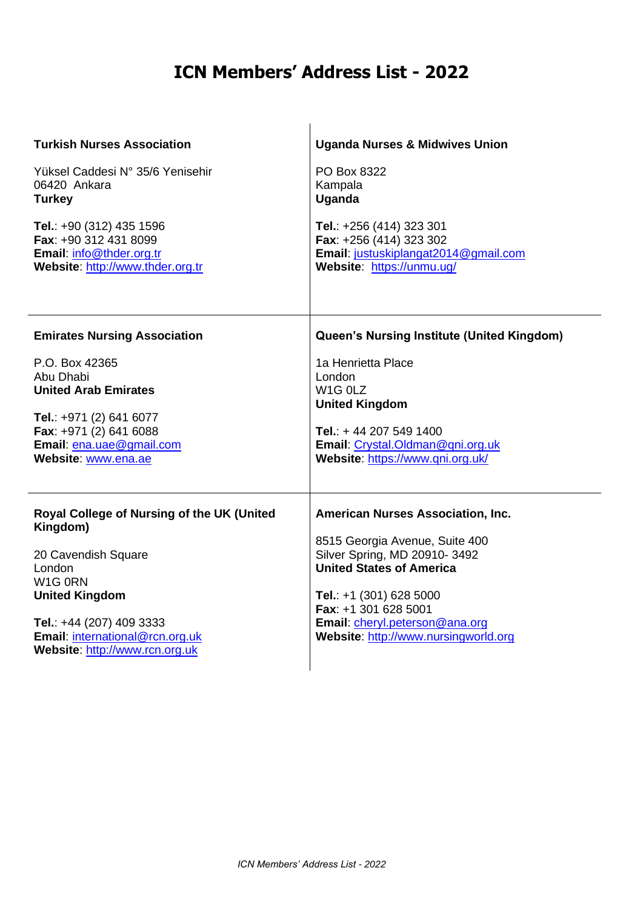| <b>Turkish Nurses Association</b>                                                                                                                                                                                            | <b>Uganda Nurses &amp; Midwives Union</b>                                                                                                                                                                                                                                    |
|------------------------------------------------------------------------------------------------------------------------------------------------------------------------------------------------------------------------------|------------------------------------------------------------------------------------------------------------------------------------------------------------------------------------------------------------------------------------------------------------------------------|
| Yüksel Caddesi N° 35/6 Yenisehir                                                                                                                                                                                             | PO Box 8322                                                                                                                                                                                                                                                                  |
| 06420 Ankara                                                                                                                                                                                                                 | Kampala                                                                                                                                                                                                                                                                      |
| <b>Turkey</b>                                                                                                                                                                                                                | Uganda                                                                                                                                                                                                                                                                       |
| Tel.: +90 (312) 435 1596                                                                                                                                                                                                     | Tel.: +256 (414) 323 301                                                                                                                                                                                                                                                     |
| Fax: +90 312 431 8099                                                                                                                                                                                                        | Fax: +256 (414) 323 302                                                                                                                                                                                                                                                      |
| Email: info@thder.org.tr                                                                                                                                                                                                     | Email: justuskiplangat2014@gmail.com                                                                                                                                                                                                                                         |
| Website: http://www.thder.org.tr                                                                                                                                                                                             | Website: https://unmu.ug/                                                                                                                                                                                                                                                    |
| <b>Emirates Nursing Association</b>                                                                                                                                                                                          | Queen's Nursing Institute (United Kingdom)                                                                                                                                                                                                                                   |
| P.O. Box 42365                                                                                                                                                                                                               | 1a Henrietta Place                                                                                                                                                                                                                                                           |
| Abu Dhabi                                                                                                                                                                                                                    | London                                                                                                                                                                                                                                                                       |
| <b>United Arab Emirates</b>                                                                                                                                                                                                  | W <sub>1G</sub> OLZ                                                                                                                                                                                                                                                          |
| Tel.: +971 (2) 641 6077                                                                                                                                                                                                      | <b>United Kingdom</b>                                                                                                                                                                                                                                                        |
| Fax: +971 (2) 641 6088                                                                                                                                                                                                       | Tel.: +44 207 549 1400                                                                                                                                                                                                                                                       |
| Email: ena.uae@gmail.com                                                                                                                                                                                                     | Email: Crystal.Oldman@qni.org.uk                                                                                                                                                                                                                                             |
| Website: www.ena.ae                                                                                                                                                                                                          | Website: https://www.qni.org.uk/                                                                                                                                                                                                                                             |
| Royal College of Nursing of the UK (United<br>Kingdom)<br>20 Cavendish Square<br>London<br>W1G 0RN<br><b>United Kingdom</b><br>Tel.: +44 (207) 409 3333<br>Email: international@rcn.org.uk<br>Website: http://www.rcn.org.uk | <b>American Nurses Association, Inc.</b><br>8515 Georgia Avenue, Suite 400<br>Silver Spring, MD 20910-3492<br><b>United States of America</b><br>Tel.: $+1$ (301) 628 5000<br>Fax: +1 301 628 5001<br>Email: cheryl.peterson@ana.org<br>Website: http://www.nursingworld.org |